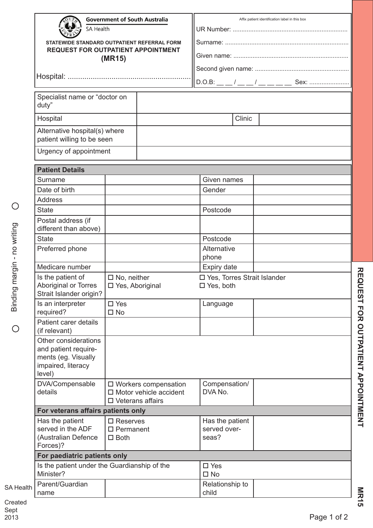|                     | <b>Government of South Australia</b><br>SA Health<br>STATEWIDE STANDARD OUTPATIENT REFERRAL FORM    |                                                                                    |  | Affix patient identification label in this box |  |  |  |  |
|---------------------|-----------------------------------------------------------------------------------------------------|------------------------------------------------------------------------------------|--|------------------------------------------------|--|--|--|--|
|                     |                                                                                                     |                                                                                    |  |                                                |  |  |  |  |
|                     | <b>REQUEST FOR OUTPATIENT APPOINTMENT</b>                                                           | (MR15)                                                                             |  |                                                |  |  |  |  |
|                     |                                                                                                     |                                                                                    |  |                                                |  |  |  |  |
|                     |                                                                                                     |                                                                                    |  |                                                |  |  |  |  |
|                     |                                                                                                     |                                                                                    |  |                                                |  |  |  |  |
|                     | Specialist name or "doctor on<br>duty"                                                              |                                                                                    |  |                                                |  |  |  |  |
|                     | Hospital                                                                                            |                                                                                    |  | Clinic                                         |  |  |  |  |
|                     | Alternative hospital(s) where                                                                       |                                                                                    |  |                                                |  |  |  |  |
|                     | patient willing to be seen                                                                          |                                                                                    |  |                                                |  |  |  |  |
|                     | Urgency of appointment                                                                              |                                                                                    |  |                                                |  |  |  |  |
|                     |                                                                                                     |                                                                                    |  |                                                |  |  |  |  |
|                     | <b>Patient Details</b>                                                                              |                                                                                    |  |                                                |  |  |  |  |
|                     | Surname                                                                                             |                                                                                    |  | Given names                                    |  |  |  |  |
|                     | Date of birth                                                                                       |                                                                                    |  | Gender                                         |  |  |  |  |
|                     | Address                                                                                             |                                                                                    |  |                                                |  |  |  |  |
|                     | <b>State</b>                                                                                        |                                                                                    |  | Postcode                                       |  |  |  |  |
|                     | Postal address (if<br>different than above)                                                         |                                                                                    |  |                                                |  |  |  |  |
|                     | <b>State</b>                                                                                        |                                                                                    |  | Postcode                                       |  |  |  |  |
|                     | Preferred phone                                                                                     |                                                                                    |  | Alternative                                    |  |  |  |  |
|                     |                                                                                                     |                                                                                    |  | phone                                          |  |  |  |  |
| margin - no writing | Medicare number                                                                                     |                                                                                    |  | Expiry date                                    |  |  |  |  |
|                     | Is the patient of                                                                                   | $\Box$ No, neither                                                                 |  | □ Yes, Torres Strait Islander                  |  |  |  |  |
|                     | Aboriginal or Torres<br>Strait Islander origin?                                                     | □ Yes, Aboriginal                                                                  |  | $\Box$ Yes, both                               |  |  |  |  |
|                     | Is an interpreter<br>required?                                                                      | $\square$ Yes<br>$\square$ No                                                      |  | Language                                       |  |  |  |  |
|                     | Patient carer details<br>(if relevant)                                                              |                                                                                    |  |                                                |  |  |  |  |
|                     | Other considerations<br>and patient require-<br>ments (eg. Visually<br>impaired, literacy<br>level) |                                                                                    |  |                                                |  |  |  |  |
|                     | DVA/Compensable<br>details                                                                          | □ Workers compensation<br>$\Box$ Motor vehicle accident<br>$\Box$ Veterans affairs |  | Compensation/<br>DVA No.                       |  |  |  |  |
|                     | For veterans affairs patients only                                                                  |                                                                                    |  |                                                |  |  |  |  |
|                     | Has the patient                                                                                     | $\square$ Reserves                                                                 |  | Has the patient                                |  |  |  |  |
|                     | served in the ADF                                                                                   | $\square$ Permanent                                                                |  | served over-                                   |  |  |  |  |
|                     | (Australian Defence<br>Forces)?                                                                     | $\Box$ Both                                                                        |  | seas?                                          |  |  |  |  |
|                     | For paediatric patients only                                                                        |                                                                                    |  |                                                |  |  |  |  |
|                     | Is the patient under the Guardianship of the                                                        |                                                                                    |  | $\square$ Yes                                  |  |  |  |  |
|                     | Minister?                                                                                           |                                                                                    |  | $\square$ No                                   |  |  |  |  |
| <b>SA Health</b>    | Parent/Guardian                                                                                     |                                                                                    |  | Relationship to                                |  |  |  |  |
|                     | name                                                                                                |                                                                                    |  | child                                          |  |  |  |  |
|                     |                                                                                                     |                                                                                    |  |                                                |  |  |  |  |

Created Sept 2013

**REQUEST FOR OUTPATIENT APPOINTMENT**

REQUEST FOR OUTPATIENT APPOINTMENT

**MR15**